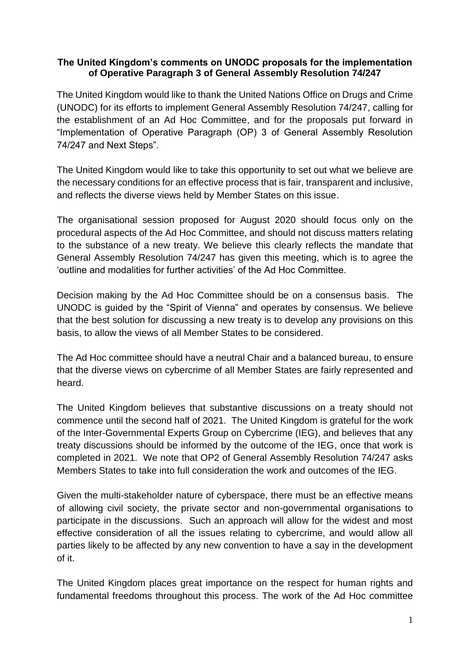## **The United Kingdom's comments on UNODC proposals for the implementation of Operative Paragraph 3 of General Assembly Resolution 74/247**

The United Kingdom would like to thank the United Nations Office on Drugs and Crime (UNODC) for its efforts to implement General Assembly Resolution 74/247, calling for the establishment of an Ad Hoc Committee, and for the proposals put forward in "Implementation of Operative Paragraph (OP) 3 of General Assembly Resolution 74/247 and Next Steps".

The United Kingdom would like to take this opportunity to set out what we believe are the necessary conditions for an effective process that is fair, transparent and inclusive, and reflects the diverse views held by Member States on this issue.

The organisational session proposed for August 2020 should focus only on the procedural aspects of the Ad Hoc Committee, and should not discuss matters relating to the substance of a new treaty. We believe this clearly reflects the mandate that General Assembly Resolution 74/247 has given this meeting, which is to agree the 'outline and modalities for further activities' of the Ad Hoc Committee.

Decision making by the Ad Hoc Committee should be on a consensus basis. The UNODC is guided by the "Spirit of Vienna" and operates by consensus. We believe that the best solution for discussing a new treaty is to develop any provisions on this basis, to allow the views of all Member States to be considered.

The Ad Hoc committee should have a neutral Chair and a balanced bureau, to ensure that the diverse views on cybercrime of all Member States are fairly represented and heard.

The United Kingdom believes that substantive discussions on a treaty should not commence until the second half of 2021. The United Kingdom is grateful for the work of the Inter-Governmental Experts Group on Cybercrime (IEG), and believes that any treaty discussions should be informed by the outcome of the IEG, once that work is completed in 2021. We note that OP2 of General Assembly Resolution 74/247 asks Members States to take into full consideration the work and outcomes of the IEG.

Given the multi-stakeholder nature of cyberspace, there must be an effective means of allowing civil society, the private sector and non-governmental organisations to participate in the discussions. Such an approach will allow for the widest and most effective consideration of all the issues relating to cybercrime, and would allow all parties likely to be affected by any new convention to have a say in the development of it.

The United Kingdom places great importance on the respect for human rights and fundamental freedoms throughout this process. The work of the Ad Hoc committee